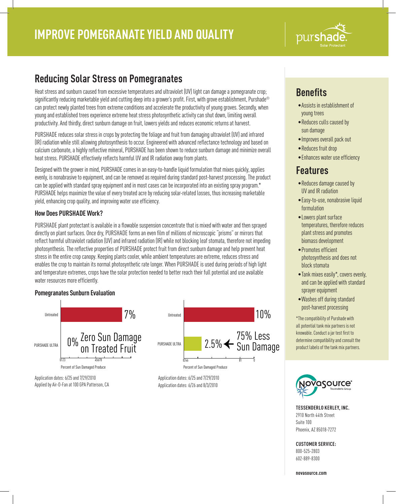

# **Reducing Solar Stress on Pomegranates**

Heat stress and sunburn caused from excessive temperatures and ultraviolet (UV) light can damage a pomegranate crop; significantly reducing marketable yield and cutting deep into a grower's profit. First, with grove establishment, Purshade® can protect newly planted trees from extreme conditions and accelerate the productivity of young groves. Secondly, when young and established trees experience extreme heat stress photosynthetic activity can shut down, limiting overall productivity. And thirdly, direct sunburn damage on fruit, lowers yields and reduces economic returns at harvest.

PURSHADE reduces solar stress in crops by protecting the foliage and fruit from damaging ultraviolet (UV) and infrared (IR) radiation while still allowing photosynthesis to occur. Engineered with advanced reflectance technology and based on calcium carbonate, a highly reflective mineral, PURSHADE has been shown to reduce sunburn damage and minimize overall heat stress. PURSHADE effectively reflects harmful UV and IR radiation away from plants.

Designed with the grower in mind, PURSHADE comes in an easy-to-handle liquid formulation that mixes quickly, applies evenly, is nonabrasive to equipment, and can be removed as required during standard post-harvest processing. The product can be applied with standard spray equipment and in most cases can be incorporated into an existing spray program.\* PURSHADE helps maximize the value of every treated acre by reducing solar-related losses, thus increasing marketable yield, enhancing crop quality, and improving water use efficiency.

## **How Does PURSHADE Work?**

PURSHADE plant protectant is available in a flowable suspension concentrate that is mixed with water and then sprayed directly on plant surfaces. Once dry, PURSHADE forms an even film of millions of microscopic "prisms" or mirrors that reflect harmful ultraviolet radiation (UV) and infrared radiation (IR) while not blocking leaf stomata, therefore not impeding photosynthesis. The reflective properties of PURSHADE protect fruit from direct sunburn damage and help prevent heat stress in the entire crop canopy. Keeping plants cooler, while ambient temperatures are extreme, reduces stress and enables the crop to maintain its normal photosynthetic rate longer. When PURSHADE is used during periods of high light and temperature extremes, crops have the solar protection needed to better reach their full potential and use available water resources more efficiently.

## **Pomegranates Sunburn Evaluation**



# **Benefits**

- •Assists in establishment of young trees
- •Reduces culls caused by sun damage
- •Improves overall pack out
- •Reduces fruit drop
- •Enhances water use efficiency

## **Features**

- •Reduces damage caused by UV and IR radiation
- •Easy-to-use, nonabrasive liquid formulation
- •Lowers plant surface temperatures, therefore reduces plant stress and promotes biomass development
- •Promotes efficient photosynthesis and does not block stomata
- •Tank mixes easily\*, covers evenly, and can be applied with standard sprayer equipment
- •Washes off during standard post-harvest processing

\*The compatibility of Purshade with all potential tank mix partners is not knowable. Conduct a jar test first to determine compatibility and consult the product labels of the tank mix partners.



**TESSENDERLO KERLEY, INC.** 2910 North 44th Street Suite 100 Phoenix, AZ 85018-7272

## **CUSTOMER SERVICE:**

800-525-2803 602-889-8300

**novasource.com**